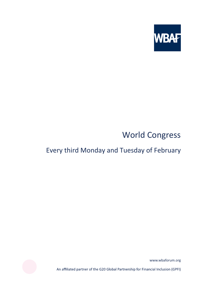

# World Congress

## Every third Monday and Tuesday of February

www.wbaforum.org

An affiliated partner of the G20 Global Partnership for Financial Inclusion (GPFI)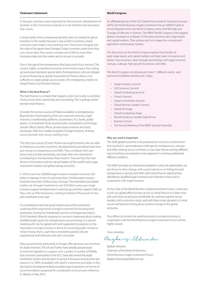## **Chairman's Statement**

In the past, inventions were important for the economic development of societies. In the 21stcentury, however, it is not invention but innovation that counts.

In those earlier times, entrepreneurial skills were not needed to get an invention to the market because it was a seller's economy, where customers were ready to buy anything new. Times have changed, and the rules of the game have changed. Today's inventors need more than just a clever idea. They need a complex set of skills to move their innovative idea into the market and to ensure it succeeds.

Ours is the age of the entrepreneur (the buzz word of our century). The current, highly competitive economic environment means that scaling up businesses demands special skills of entrepreneurs, who are obliged to secure financing as quickly as possible.Yet finance alone is not sufficient to create global success stories. The entrepreneur needs not simply finance, but the best finance.

where the best marrest.<br>The best finance is a miracle that happens when one is able to combine money, know-how, mentorship and networking. This is perhaps better termed smart finance.

Consider the various sources of finance available to entrepreneurs: Beyond basic bootstrapping, there are corporate ventures, angel investors, crowdfunding platforms, accelerators, VCs, banks, public grants, co-investment funds, business plan competitions, technology transfer offices, family offices, private equity investors and stock exchanges. With the notable exception of angel investors, all these sources provide only money, nothing more.

The only true sources of smart finance are angel investors, who are able to influence a country's economic development by providing more than just money to entrepreneurs and SMEs. They contribute their own know-how, provide mentorship, and share their own networks in contributing to the businesses they invest in. They are thus the main drivers of innovation and the natural leaders of the world's early-stage investment markets and global startup economy.

In 2018, more than 300,000 angel investors invested more than \$26 billion in startups in the US, and more than 310,000 angel investors invested more than 9 billion Euro in Europe. The estimated total global market size of angel investment is over \$50 billion every year. Angel investors support entrepreneurs in starting up, and they support SMEs as they scale up their businesses, creating hundreds of thousands of new jobs worldwide every year.

It is rewarding to see that governments around the world have understood the importance of angel investment for boosting their economies. During the Presidential Summit on Entrepreneurship in 2010, President Obama's response to concerns I expressed about making available public grants for entrepreneurs was promising. In a special meeting with me, he agreed with and supported my position on the importance of angel investors in terms of converting public money to 'smart money', that is, cash that is invested by parties who are experienced, well-informed, and well connected.

Many governments, particularly in Europe, offer generous tax incentives for angel investors. The UK and Turkey have already passed angel investment legislation to support such a system. A number of Middle East countries, particularly in the GCC, have discovered the angel investment system and are keen to pursue it because, among other key reasons, it is 100% compatible with Islamic investment principles. In fact, the Islamic Development Bank included angel investment on the list of recommendations proposed for consideration at its annual conference in Jakarta, in May 2016.

## **World Congress**

An affiliated partner of the G20 Global Partnership for Financial Inclusion (GPFI), the World Business Angels Investment Forum (WBAF) holds its annual flagship event, the World Congress, every third Monday and Tuesday of February in Istanbul. The WBAF World Congress is the biggest global convergence of players of the early and post-early stage equity and capital markets. Their primary aim is to shape the coming year's agenda for world equity markets.

The discussions at the World Congress explore how funders of early-stage equity and capital markets can foster open innovation and deliver more business value through partnerships with angel investors, startups, scaleups, high-growth businesses and SMEs.

The World Congress simultaneously hosts 11 different events and summits & Exhibition Booths over 2 days:

- Angel Investors Summit
- CEO Investors Summit
- Global Fundraising Summit
- Fintech Summit
- Impact Investment Summit
- Global Woman Leaders Summit
- Global FDI Stage
- Global Fundraising Stage
- World Excellence Awards Gala Dinner
- Business School
- The Annual Meeting of the WBAF General Assembly

way our work important<br>The 2008 global economic crisis produced an economic environment that resulted in unprecedented challenges for entrepreneurs, startups and SMEs seeking access to finance. It was clear that an entirely different way of working was required, a new approach to solving qualitatively different problems.

The WBAF provides an international platform where all stakeholders can join forces to drive change, with a particular focus on linking the best entrepreneurs, startups and SMEs with smart finance opportunities afforded by qualified angel investors and institutions that work in cooperation with angel investors.

As the Chair of the World Business Angels Investment Forum, I invite you to join our global efforts to ease access to smart finance to create more jobs and more social justice worldwide. By working together across borders, with a common vision, and with these smart dynamics in mind, we are well placed to bring about positive change in the global economy.

Your efforts to convert the world economy to a smart economy in cooperation with the World Business Angels Investment Forum will be highly valued.

Yours sincerely,

Baybary Slfunta

Baybars Altuntas Chairman of the Board of Directors, World Business Angels Investment Forum Baybars.Altuntas@wbaforum.org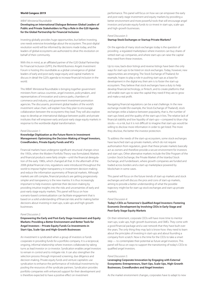## **World Congess 2019**

## WBAF Ministerial Roundtable:

**Developing an International Dialogue Between Global Leaders of Public and Private Stakeholders to Play a Role in the G20 Agenda for the Global Partnership for Financial Inclusion**

Investing globally provides huge opportunities, but before investing, one needs extensive knowledge about the ecosystem. The post-digital revolution world will be informed by decisions made today, and the leaders of global ecosystems are authorized to drive this revolution on behalf of their community.

With this in mind, as an affiliated partner of the G20 Global Partnership for Financial Inclusion (GPFI), the World Business Angels Investment Forum is hosting this roundtable as a global convergence of global leaders of early and post-early stage equity and capital markets to discuss in detail the G20's agenda to increase financial inclusion in the world.

This WBAF Ministerial Roundtable is bringing together government ministers from various countries, angel investors, policymakers, and representatives of innovation and science parks, chambers of commerce and industry, and government investment promotion agencies. The discussants, prominent global leaders of the world's investment value chain, will explain how they plan to encourage collaboration between the ecosystems they lead. They will also explore ways to develop an international dialogue between public and private institutes that will empower early and post-early stage equity markets in response to the worldwide digital transformation.

#### Panel Discussion 1:

## **Knowledge Digitization as the Future Norm in Investment Management: Optimizing the Decision-Making of Angel Investors, Crowdfunders, Private Equity Funds and VCs**

Financial markets have undergone significant structural changes since the 1950s, when the Modern Portfolio Theory was formulated. Markets and financial products were fairly simple—until the financial deregulation of the early 1980s, which changed all that. In the aftermath of the 2008 global financial crisis, regulations were introduced throughout the world to impose higher transparency in investment decision-making and reduce the information asymmetry of financial markets. Although markets are still complex, financial products are getting progressively simpler and transparency is the new mantra. It is thus increasingly important to help investors optimize their decision-making by providing intuitive insights into the risks and uncertainties of early and post-early stage equity markets. This panel will focus on how scenario-based contextualization can facilitate engagement that is based on a solid understanding of financial risks and for making better decisions about investing in start-ups, scale-ups and high-growth businesses.

### Panel Discussion 2:

**Empowering the Early and Post-Early Stage Investment and Equity Markets: Providing a Better Environment and Better Tools for Angel Investors – Private Equity Funds Co-Investments in Start-Ups, Scale-Ups and High-Growth Businesses**

An investment is syndicated when a group of investors or funds cooperate in providing funds for a portfolio company. It is a reciprocal, ongoing, informal relationship where investors collaborate by taking turns as lead investor or co-investor. Syndication enables angel investors to remain in control and to mitigate risk. It can also strengthen the selection process through improved screening, due diligence and decision-making. Private equity funds and venture capitalists use syndication to enhance the performance of individual investments by pooling the resources of the syndicate partners. Syndication provides portfolio companies with enhanced support for their development and is therefore expected to have a positive effect on investment

performance. This panel will focus on how we can empower the early and post-early stage investment and equity markets by providing a better environment and more powerful tools that will encourage angel investors and private equity funds to co-invest in start-ups, scale-ups and high-growth businesses.

#### Panel Discussion 3:

#### **Startup Stock Exchanges or Startup Private Markets?**

On the agenda of many stock exchanges today is the question of providing a regulated marketplace where investors can buy shares of vetted start-up companies, and where start-ups can raise the capital they need from these investors.

Up to now, back-door listings and reverse listings have been the only ways for start-ups to be listed on stock exchanges. Today, however, new opportunities are emerging. The Stock Exchange of Thailand, for example, hopes to play a role in pushing start-ups as a base for development in the digital era; their aim is to foster the start-up ecosystem. They believe that stock exchanges have a duty to help develop financial technology, or fintech, and to create platforms that will enable start-ups to raise the capital they need if they are to grow and make a real profit.

Navigating financial regulations can be a real challenge. In the new exchange model (for example, the Stock Exchange of Thailand), stock exchanges strike a balance between popularity, that is, the number of start-ups listed, and the quality of the start-ups it lists. The relative lack of financial stability and low liquidity of start-ups—compared to blue-chip stocks—is a risk, but it is not difficult to imagine that start-ups would be willing to disclose more information in order to get listed. The more they disclose, the better the investor protection.

To address the needs of the start-up ecosystem, some stock exchanges have launched start-up private markets, which do not require authorisation from regulators, given that these private markets basically act as owners and therefore provide a secure environment for investors and start-ups. Other alternative markets include the Elite Program of the London Stock Exchange, the Private Market of the Istanbul Stock Exchange, and Funderbeam, where growth companies are funded and traded across borders and a start-up marketplace powered by blockchain in some cases.

This panel will focus on the future trends of start-up markets and stock exchanges and will discuss the pros and cons of start-up markets, aiming to provide a better understanding of what the possible trajectory might be for start-up stock exchanges and start-up private markets.

#### Panel Discussion 4:

## **Today's CEOs as Tomorrow's Qualified Angel Investors: Fostering Economic Development by Involving CEOs in Early-Stage and Post-Early Stage Equity Markets**

On their retirement, corporate CEOs will have more time to mentor start-ups, scale-ups, high-growth businesses, and SMEs. They come with a good financial package and a vast network that they have built over the years. The only thing they may lack is know-how: they need to learn about the principles of investing in start-ups and about founding a company from scratch. Now is the time for the CEOs to take a smart step — to contemplate their potential as future angel investors. This panel will focus on ways to support the transitioning of today's CEOs to qualified angel investors.

#### Panel Discussion 5:

**Leveraging Corporate Innovation by Engaging with External Ecosystems: Entrepreneurs, Start-Ups, Scale-Ups, High-Growth Businesses, Crowdfunders and Angel Investors**

As the market environment changes, corporates have to adapt to new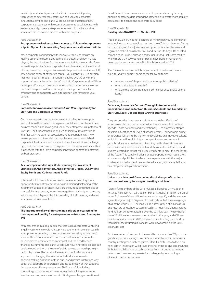market dynamics to stay ahead of shifts in the market. Opening themselves to external ecosystems can add value to corporate innovation activities. This panel will focus on the question of how corporates can connect with external ecosystems to collaborate with early-stage and post-early stage entrepreneurship markets and to accelerate the innovation process within the corporate.

#### Panel Discussion 6:

## **Entrepreneur-In-Residence Programmes to Cultivate Intrapreneurship: An Option for Accelerating Corporate Innovation from Within**

While corporate cooperation with innovative start-ups focuses on making use of the external entrepreneurial potential of new market players, the introduction of an 'intrapreneurship' initiative can also foster innovation potential. Some corporates have developed a different kind of intrapreneurship program known as 'entrepreneurs-in-residence' (EIR). Based on the concept of venture capital (VC) companies, EIRs develop their own business models – financially backed by a VC or with the support of companies within the VC portfolio. Corporates enable EIRs to develop and/or launch business models within the corporate venture portfolio. This panel will focus on ways to manage both initiatives efficiently and to cooperate with external start-ups for their mutual benefit.

## Panel Discussion 7:

## **Corporate Innovation Accelerators: A Win-Win Opportunity for Start-Ups and Corporate Ventures**

Corporates establish corporate innovation accelerators to support various internal innovation management activities, to implement new business models, and make good use of the entrepreneurial potential of start-ups. The fundamental aim of such an initiative is to provide an interface with the external ecosystem and to cooperate with new market players. In this model, start-ups have access to established corporate infrastructure and are able to have their solutions challenge by experts in the corporate. In this panel, the discussants will share their experiences with their own corporate innovation centres and offer tips on best practices.

## Panel Discussion 8:

## **Key Concepts for Start-ups: Understanding the Investment Strategies of Angel Investors, Angel Investor Groups, VCs, Private Equity Funds and Co-Investment Funds**

This panel will focus on how we can increase open learning space opportunities for entrepreneurs to expand their understanding of the investment strategies of angel investors, the fund-raising strategies of successful entrepreneurs, term-sheet negotiation techniques, company valuations, due diligence checklists used by global investors, and ways to access co-investment funds.

#### Panel Discussion 9:

## **The importance of a well-functioning early-stage ecosystem for creating more liquidity for entrepreneurs — from seed funding to IPO**

With new trends in global capital markets such as corporate venturing. angel investment, crowdfunding, private equity, and sovereign wealth to empower economies, some countries are struggling to take on of some of these investment methods – crowdfunding, for example – despite proven positive economic impact and the need for such financial instruments. This panel will discuss how innovative policies can be developed and what the role of public–private partnerships might be in this process. The panel will attempt to put forth a concrete approach to changing the mindset of individuals who are in decision-making positions, both in public and private institutions. Any policy that supports entrepreneurs and SMEs directly, or that supports the supporters of entrepreneurs and SMEs, is useful, including converting public money to smart money by involving more angel investors and corporate ventures. A critical game-changer question will

be addressed: How can we create an entrepreneurial ecosystem by bringing all stakeholders around the same table to create more liquidity, ease access to finance and accelerate early exits?

## Panel Discussion 10: **Nasdaq Talk: ANATOMY OF AN SME IPO**

Traditionally, an IPO has not been top of mind when young companies were looking to raise capital, expand and grow. This has changed. Today, most exchanges offer a junior market option where simpler rules and regulation make it possible for SMEs and startups to begin life as listed companies. In Europe, Nasdaq operates its Nasdaq First North market where more than 500 young companies have started their journey, raised capital and grown since First North launched in 2005.

 Our 15 minutes session will show you what to look for and how to execute, and will address some of the following topics:

- How to successfully plan and structure a public offering?
- When is the right time to list?
- What are the key considerations companies should take before listing?

#### Panel Discussion 11:

## **Enhancing Innovative Cultures Through Entrepreneurship: Innovation Education for Non-Business Students and Founders of Start-Ups, Scale-Ups and High-Growth Businesses**

The past decades have seen a rapid increase in the offerings of entrepreneurship education worldwide. There is an explicit political agenda—both nationally and internationally— to promote entrepreneurship education at all levels of school systems. Policymakers expect entrepreneurial skills to be the key to developing an innovative culture, which in turn will result in higher competitiveness and economic growth. Educational systems and teaching methods must therefore move from traditional educational models to creative, interactive and student-centred ones that will prepare students to meet the challenges of the future. This panel will offer a unique opportunity for researchers, educators and politicians to share their experiences with the major challenges and advances in enterprise education, with a special focus on entrepreneurship and innovation.

#### Panel Discussion 12:

## **Unicorn or mini-corn? Overcoming the challenges of creating a unicorn business by focusing on creating a mini-corn**

Twenty-five members of the 2016 FORBES Billionaires List made their fortunes via unicorns – start-up companies valued at \$1 billion dollars or more. Eighteen of these billionaires are under age 40, and the average age of the group is just 36 years old. That is about half the average age of all of the world's 1,810 billionaires. This small group of billionaires is one measure of just how successful tech start-ups have been at raising funding from venture capitalists over the past few years. Nearly half of these 25 billionaires are newcomers to the list this year, and 40% saw their fortunes increase in 2015 because of new funding rounds. More than half of the returning billionaires were newcomers on the 2015 Billionaires List.

But the number of unicorns in the world is not more than 200, so is it a good idea to put 'creating a unicorn' as an indicator of the success of a country's entrepreneurial ecosystem? Or is it a better idea to focus on mini-corns? This session will discuss the challenges to and opportunities for building a billion-dollar tech business from start-up to scale-up to unicorn and how to compensate for challenges by introducing a different criterion for success.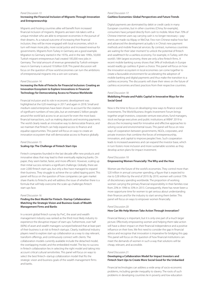#### Panel Discussion 13:

## **Increasing the Financial Inclusion of Migrants Through Innovation and Entrepreneurship**

Migrants and hosting countries alike will benefit from increased financial inclusion of migrants. Migrants are keen risk-takers with a unique mindset who are able to empower economies in the pursuit of their dreams. As a natural outcome of increasing their financial inclusion, they will be more engaged with local economies, which in turn will mean more jobs, more social justice and increased revenue for governments. Migrants from Turkey in Germany are a good example. Migration to Germany started in the 1970s, and in the late 1990s, 50,000 Turkish migrant entrepreneurs had created 185,000 new jobs in Germany. The total amount of revenue generated by Turkish entrepreneurs in Germany is around 10 billion EUR. This panel discussion will focus on the question of how world economies can turn the ambitions of entrepreneurial migrants into a win-win scenario.

#### Panel Discussion 14:

## **Increasing the Role of Fintechs for Financial Inclusion: Creating an Innovation Ecosystem to Explore Innovations in Financial Technology for Democratizing Access to Finance Worldwide**

Financial inclusion and its role in economic development was highlighted at the G20 meetings in 2017 and again in 2018. Small and medium-sized enterprises have been shown to account for the creation of significant numbers of new jobs, but an estimated 2 billion people around the world lack access to an account for even the most basic financial transactions, such as making deposits and receiving payments. The world clearly needs an innovative way to democratize finance, and we maintain that fintech can help expand access to finance and equalise opportunities. This panel will focus on ways to create an innovation ecosystem that will democratize access to finance globally.

#### Panel Discussion 15:

## **Scaling-Up: The Challenge of Fintech Start-Ups**

Fintech companies founded in the last decade offer new products and innovative ideas that may lead to their eventually replacing banks. On paper, they seem better, faster, and more efficient. However, scaling up their initial success remains a significant challenge. Globally, there are over 2,000 fintech start-ups, but only a few have managed to expand their business. They struggle to achieve the so-called tipping point. This panel will focus on the question of how companies can gain market share thanks to fintechs and will address the issue of whether there is a formula that will help overcome the scale-up challenges fintech start-ups face.

#### Panel Discussion 16:

## **Finding the Best Model for Fintech–Startup Collaboration: Matching the Strategic Vision and Business Goals of Wealth Management Firms and Banks**

In a recent global fintech survey by PwC, the asset and wealth management industry was ranked as the third most likely industry to experience the disruptive impact of start-ups. Futhermore, over half (60%) of asset and wealth managers surveyed believed that at least part of their business is at risk to fintech startups. Clearly, traditional industry players need to explore start-up collaboration as a way to stay relevant, transform offerings, and continuously connect with clients. The collaboration models currently available include the detached model, the overlapping model, and the embedded model. The key to success in fintech collaboration lies in selecting the right model and taking into account critical cultural sensitivities. This panel will focus on ways to select the best fintech–startup collaboration model that fits the strategic vision and business goals of the wealth management firms and banks.

## Panel Discussion 17:

#### **Cashless Economies: Global Perspectives and Future Trends**

Digital payments are dominated by debit or credit cards in many European countries, but in other countries (China, for example), consumers have jumped directly from cash to mobile. More than 70% of Chinese internet users say carrying cash is no longer necessary—payments are made via Alipay or WeChat. Few non-Chinese realise how fast and advanced the development actually is in China's new payment methods and mobile financial services. By contrast, numerous countries are waiting for their 'uber moment' to unlock the potential of fintech and wealthtech for a cashless economy. For example, in Turkey, with the world's 18th largest economy, there are only a few fintech firms. A recent mobile banking survey shows that 34% of individuals in Europe would readily go cashless if given a choice. This panel will focus on how the innovation ecosystem in local economies can come together to create a favourable environment for accelerating the adoption of mobile banking and digital payments and thus make the transition to a cashless economy. The discussants will share their views on the future of cashless economies and best practices from their respective countries.

#### Panel Discussion 18:

## **Mobilizing Private and Public Capital in Innovative Ways for the Social Good**

Now is the time to focus on developing new ways to finance social investments. The World Business Angels Investment Forum brings together angel investors, corporate venture executives, fund managers, stock exchange executives and public institutions at WBAF 2019 to discuss the increasing need for innovative and effective approaches to solving social and environmental issues. This panel will focus on new ways of cooperation between governments, NGOs, corporates, and private investors that combine the forces of entrepreneurship, innovation, and capital to improve peoples' lives. Such cooperation leads to increased awareness and can expand the investor base, which in turn fosters more inclusion and more sustainable societies as they develop action plans for impact investment.

## Panel Discussion 19: **Empowering Women Financially: The Why and the How**

Women are the future of the world's economies. They control more than \$20 trillion in annual consumer spending, a figure that is expected to rise to \$28 trillion by the end of 2019. By 2019, women will control 75% of discretionary spending worldwide. The proportion of working women carrying the primary financial responsibility in their families rose from 23% in 1996 to 33% in 2013. Consequently, there has never been a more opportune time for women to get serious about understanding their finances and for the industry to start serving them better. This panel will focus on ways to empower women financially.

#### Panel Discussion 20:

#### **How Can We Help Women Take Action Through Innovation?**

Financial literacy is important, but it is only one part of a much larger picture. Effectively empowering women and helping them take action will have a direct impact on their financial independence and a positive influence on their lives. We first need to consider the gap in financial advice and recognise that innovation is imperative for bridging this gap. This panel will focus on the question of how financial institutions can meet the demands of women in such a way that solutions will be cheap, relevant, and accessible.

#### Panel Discussion 21:

## **Developing a Collaboration Model for Impact Investors and Fintech Start-Ups to Create More Social Good for the Unbanked**

Financial technologies can address a wide array of socio-economic problems, including gender inequality to slavery. The roots of such problems in developing countries lie in poverty and low education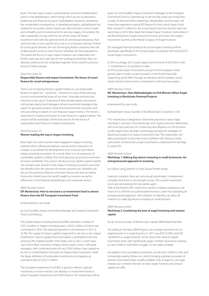levels. The best way to lower cultural barriers and resist traditionalism seems to be globalization, which brings with it access to education, healthcare and financial inclusion. Globalization, however, sometimes has unintended consequences. In developing regions, globalization has created an ecosystem where citizens are often forced to work in harsh and unhealthy work environments for very low wages. Fortunately, the tide is gradually turning, with the rise of the notion of 'impact investment' and with the general trend of commercial enterprises that work not only to turn a profit, but to do so in a humane manner. 'Fintech for social good' denotes the use of emerging fintech solutions that will enable greater access to basic human amenities for their populations. This panel will focus on ways impact investors can collaborate with fintech start-ups and scale-ups for the social good and how they can develop solutions for the unbanked segment of the world's economy – around 2 billion people.

## Panel Discussion 22:

## **Responsible finance and impact Investment: The future of smart finance for social entrepreneurs**

There is an increasing trend in capital markets to use responsible finance to search for – and fund – solutions to many of the pressing social or environmental issues of our time. Corporate ventures also intend to invest up to 10 percent of their private equity investments with private equity fund managers whose investment strategies they expect to generate positive social and environmental outcomes, and who are willing to report on non-financial impact metrics. This trend is important for shaping the future of smart finance in capital markets. This session will be essentially a think-tank session for the future of responsible smart finance in impact investments.

### Panel Discussion 23:

#### **Women leading the way in impact investing**

More high net worth women have engaged in impact investing, inspired others, influenced advisors, and served as champions of change to accelerate the development of an inclusive and vibrant impact investing ecosystem. As a result, there is in an expansion of sustainable capital to address the most pressing social and environmental issues worldwide. This session will discuss how global capital markets can include more women in the impact investing ecosystem and what the benefits from the network of women investors are. Panellists will discuss the growing influence of women (those who earn as well as those who inherit) over the world's wealth as investors as well as influencers in the financial, philanthropic and corporate sectors.

#### WBAF Business School

## **EIF Masterclass: How to structure a co-investment fund to attract finance from the EIF European Investment Fund**

#### empowered by case study

by Cyril Gouiffès, Impact Investment Manager @ European Investment Fund, Luxembourg

The Global Impact Investing Network (GIIN) estimates a market of US\$114 billion in impact investing assets, US\$22.1 billion of which was committed in 2016. The expected growth in commitment in 2017 is 25.9%. The supply of impact capital is expected to rise, but so far, impact investment's share in global financial markets is estimated to be only around 0.2% of global wealth. If this share rises to 2%, it could mean over US\$2 trillion invested in impact-driven assets. Some 1,500 asset managers, with combined assets of over US\$62 trillion, have signed on for the six United Nations Principles for Responsible Investment, while the larger definition of sustainable investment encompasses an estimated total of US\$21.4 trillion.

The European Investment Fund (EIF) is going to deliver a special masterclass on how investors can develop co-investment funds to attract European Investment Fund (EIF) finance. The masterclass will be given by Cyril Gouiffès, Impact Investment Manager at the European Investment Fund in Luxembourg. It will include a real case study from Croatia. At the end of the masterclass, Renata Brkic and her team will share their experience raising EIF finance for their social impact fund. Brkic raised €15 million for the social impact fund she and her team are launching in 2019. Brkic leads the Global Impact Investors Committee of the World Business Angels Investment Forum and chairs the Impact Investment Summit at the World Congress of Angel Investors.

EIF-managed financial products for social impact investing will be presented, specifically, (i) the Social Impact Accelerator (SIA) and (ii) EFSI social impact instruments:

(i) SIA is a vintage 2013 social impact fund-of-funds of EUR 243m with 11 investments in its portfolio to date.

(ii) EFSI social impact instruments are part of the European Union growth plan to foster social innovation in the EU by financially supporting social SMEs through accelerators and incubators, social impact bond schemes and co-investments with business angels.

### WBAF Business School

## **BIC Masterclass:: New Methodologies to Pick Winners When Angel Investing in Blockchain Powered Projects**

empowered by case study

by Brad Bulent Yasar, Founder of the Blockchain Consortium, USA

This masterclass is designed to share best practices in early-stage investing in startups in the blockchain and cryptocurrencies. Masterclass will cover best practices on conducting due diligence on the business model, legal issues, founders, technology and growth strategies of blockchain projects to reduce investment risks. The masterclass will allow participants to become more confident with doing an initial assessment of blockchain projects and better understand the red flags to watch for.

#### WBAF Business School

## **Workshop 1: Making big returns investing in small businesses: An entrepreneurial approach to investing**

by Callum Laing, partner in Unity Group Private Equity

Investors complain there are not enough good deals. Entrepreneurs complain that there is not enough money. The current investment structures are keeping the two parties apart. 50% of the Worlds GDP comes from small to medium enterprises, yet most of it is off limits to sophisticated investors. Learn how adopting an entrepreneurial approach with a fixation on liquidity can allow all investors to make big returns investing in small business.

#### WBAF Business School

## **Workshop 2: Combining the best of angel investing and venture capital**

by Ian Sosso, Founder of Monte Carlo Capital, EBAN Board Member

According to the latest EBAN figures, the average investment for an angel investor in a single business in 2017 was EUR 25,000, and EUR 182,000 for an angel network. At the same time, venture capital investment starts with significantly larger numbers. Businesses looking to raise \$500K to \$2M often struggle. It's the valley of death.

Ian explains how, by leading investment rounds from \$500K to \$2M, and increasingly leading follow-ons, whilst bringing a global ecosystem of advisors and relationships usually available only at large VCs, an angel investor can combine the best of what angel investors and venture capital can offer.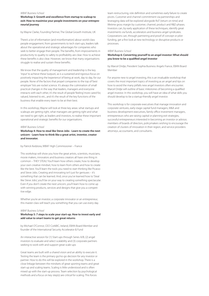## WBAF Business School

**Workshop 3: Growth and excellence from startup to scaleup to exit: How to maximise your people investments on your entrepreneurial journey**

by Wayne Clarke, Founding Partner, The Global Growth Institute, UK

There's a lot of information (and misinformation) about world-class people engagement, from governments to tech start-ups, leaders talk about the operational and strategic advantages for companies who seek to better engage their people. The benefits, from improvements in productivity to quality to safety to profitability are clear. How to achieve these benefits is also clear. However, we know that many organisations struggle to realise and sustain these benefits.

We know that the quality of management and leadership is the key 'input' to achieve these 'outputs', as is a sustained and rigorous focus on positively impacting the 'experience' of being at work, day to day, for our people. None of the factors that propel companies to the top of 'best employer' lists are rocket science. It's always the culmination of small practical changes in the way that leaders, managers and everyone interacts with each other, it's the result of people 'feeling' more cared for, valued, listened to etc., and it's the result of the key functions of the business that enable every team to be at their best.

In this workshop, Wayne will look at three key areas: what startups and scaleups are getting right, what managers are getting right and what we need to get right, as leaders and investors, to realise these important operational and strategic benefits for our organisations.

#### WBAF Business School

**Workshop 4: How to steal like Steve Jobs - Learn to create the next unicorn - Learn how to think like a great artist, inventor, creator and innovator.**

by Patrick Kedziora, WBAF High Commissioner – France

This workshop will show you how the great artists, scientists, musicians, movie makers, innovators and business creators all have one thing in common – THEY STEAL! You'll learn how others create, how to develop your own creative mindset, how to learn from others and how to create like the best. You'll learn the tools you need to start thinking like Picasso and Steve Jobs. Creating and innovating isn't just for geniuses – it's something that can be learned. And, once you've learned how to 'Steal like Steve Jobs', you'll be on your way to creating something spectacular. Even if you don't create the next unicorn, you'll learn how to come up with winning products, services and designs that give you a competitive edge.

Whether you're an investor, a corporate innovator or an entrepreneur, this master-class will teach you something that you can use every day.

#### WBAF Business School

## **Workshop 5: 7 steps to scale your start-up. How to invest early and add value to smart teams to get great returns**

by Michael O'Connor, CEO CorkBIC, Ireland, EBAN Board Member and founder of the International Security Accelerator & Fund

An interactive session for (1) Start-ups through Series A/B, (2) angel investors to evaluate and select scalability and (3) corporate partners seeking to work with and support great scale-ups

Great teams are built with a shared vision and an ability to execute it. Testing the team is the primary go/no-go decision for any investor or partner. How to do this will be explored in the workshop. There is a close linkage between the mindsets of great sporting teams and great start-up and scaling teams. Scaling is little understood and is often mixed up with the start-up process. Team selection by psychological methods and a focus on key step(s) are critical for scaling. This forces

team restructuring, role definition and sometimes early failure to create pivots. Customer and channel commitment via partnerships and leveraging data will be explored alongside RoT (return on time) and lifetime gross margin by customer, channel, product and R&D phases. Investors can, by early application of these techniques, identify great investments via funds, accelerators and business angel syndicates. Corporations can, through partnering and proof of concept or pilot funding, get a first look at new technology or disruptive products or processes.

#### WBAF Business School

## **Workshop 6: Converting yourself to an angel investor: What should you know to be a qualified angel investor**

by Marcel Dridje, President Sophia Business Angels France, EBAN Board Member

For anyone new to angel investing, this is an invaluable workshop that covers the most important topics of investing as an angel and tips on how to avoid the many pitfalls new angel investors often encounter. Marcel Dridje will outline of basic milestones of becoming a qualified angel investor. In this workshop, you will have an idea of what skills you should develop to be a startup-friendly angel investor.

This workshop is for corporate executives that manage innovation and corporate ventures, early-stage capital fund managers, M&A and business development executives, family office investment managers, entrepreneurs who are raising capital or planning exit strategies, successful entrepreneurs interested in becoming an investor or advisor, members of boards of directors, policymakers wishing to encourage the creation of clusters of innovation in their region, and service providers: attorneys, accountants, and consultants.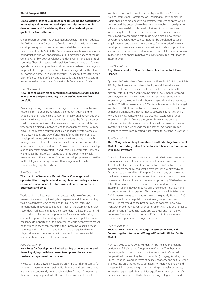## **World Congess 2018**

**Global Action Plans of Global Leaders: Unlocking the potential for innovating and developing global partnerships for economic development and for achieving the sustainable development goals of the United Nations**

On 25 September 2015, the United Nations General Assembly adopted the 2030 Agenda for Sustainable Development, along with a new set of development goals that are collectively called the Sustainable Development Goals (SDGs). The Agenda is a culmination of many years of negotiation and was endorsed by all 193 member-nations of the UN General Assembly, both developed and developing – and applies to all countries. Then-UN Secretary General Ban Ki-Moon noted that ''the new agenda is a promise by leaders to all people everywhere. It is an agenda for people, to end poverty in all of its forms – an agenda for the planet, our common home." In this session, you will hear about the 2018 action plans of global leaders of early and post-early stage equity markets in response to the United Nation's Sustainable Development Goals.

#### Panel Discussion 1:

## **New Rules of Wealth Management: Including more angel-backed investments and private equity in a diversified family office portfolio**

Any family making use of wealth management services has a twofold responsibility: to understand where their money is going and to understand their relationship to it. Unfortunately, until now, inclusion of early stage investments in the portfolios managed by family offices and wealth management executives were very close to none. So it is now time to start a dialogue between wealth management executives and players of early stage equity market such as angel investors, accelerators, private equity and crowdfunding platforms. This panel aims to develop a dialogue on including early stage investments in wealth management portfolios. How can we develop a start-up portfolio to attract more family offices to invest? How can we help families develop a good understanding of start-up and scale-up investments? How can we mitigate the risks of early stage equities to attract more wealth management in the ecosystem? This session will propose an innovative methodology to attract global wealth management for early and post-early stage equity markets.

#### Panel Discussion 2:

## **The rise of the Secondary Market: Global Challenges and opportunities in regulated and un-regulated secondary markets, easing access to finance for start-ups, scale-ups, high-growth businesses and SMEs**

World capital markets meet with an unstoppable rise of secondary markets. Since reaching liquidity is so expensive and time consuming via IPOs, alternative ways to replace IPO liquidity are increasing tremendously in developed countries. Most of the alternatives involve secondary markets and unregulated secondary markets. This panel will discuss the challenges and opportunities for investors when they encounter options at secondary market(s). How can regulators convert challenges to opportunities to empower the world economy? What will be the trend in secondary markets in the upcoming years? How can securities and stock exchange authorities and unregulated market players sit around the same table to discover innovative financial instruments to ease access to smart finance?

#### Panel Discussion 3:

## **New Roles for Development Banks: Leading co-investments and financing high-growth businesses to empower the early and post-early stage investment market**

Private banks and private investors are unwilling to risk their capital for long-term investments in sustainability for fear that those investments are neither economically nor financially viable. A global framework is therefore being prepared to better incentivise sustainable private

investment and public-private partnerships. At the July 2015United Nations International Conference on Financing for Development in Addis Ababa, a comprehensive policy framework was adopted which underscored the potential role that development banks could play in achieving sustainability. This panel will attempt to discover ways to include angel investors, accelerators, innovation centres, incubation centres and crowdfunding platforms in developing a new role for development banks. How can partnerships be developed between angel investors and development banks to fuel innovation? How can development banks lead/create co-investment funds to support the start-up ecosystem? How can development banks take more active role in developing partnerships between private and public institutions to invest in SMEs?

#### Panel Discussion 4:

## **Angel Investment as a New Investment Instrument for Islamic Finance**

By the end of 2018, Islamic finance assets will reach \$2.7 trillion, which is 2% of global finance assets. Islamic banks, in addition to local and international players of capital markets, are set to benefit from this growth sector. But when you examine Islamic investment assets and portfolios, early stage investments are almost non-existent. Angel investment, on the other hand, is booming globally and is expected to reach a \$50 billion market size by 2020. What is interesting is that angel investment is 100% compatible with Islamic investment principles and, perhaps surprisingly, the Islamic finance ecosystem is not yet familiar with angel investment., How can we create an awareness of angel investment in Islamic finance ecosystem? How can we develop co-investment funds between Islamic finance instruments and angel investors? How can we change the mindset of investors in Islamic countries to move from investing in real estate to investing in start-ups?

#### Panel Discussion 5:

## **The G20 Agenda on Angel Investment and Early Stage Investment Markets: Converting public finance to smart finance in cooperation with angel investors**

Promoting innovation and sustainable industrialisation requires easy access to finance and financial services that facilitate investment. The IFC estimates there are more than 360 million to 440 million formal and informal micro, medium, and small enterprises (MESMEs) worldwide. According to the World Bank Enterprise Surveys, many of these firms cite limited access to finance as one of their main constraints to growth. However, for the first time ever, proposals approved by G20 leaders last July in Hamburg included a reference to the importance of angel investment as an innovative source of finance to fuel innovation and the entrepreneurship ecosystem. This panel session will build on the G20 framework to try to ease access to finance globally. How can G20 countries include more public money to early stage investment markets? What would be the best pathway to connect know-how, mentorship, and the network of angel investors with G20 economies to support financial freedom for start-ups, scale-ups and high-growth businesses? How can we convert the G20's public finance to smart finance in co-operation with angel investors?

#### Panel Discussion 6:

## **Regional Focus: The V4 Early Stage Investment Market and Connecting the International Visegrad Fund with Global Capital Markets**

From July 2017 to June 2018, Hungary will be holding the rotating presidency of the Visegrad Group for the fifth time. The theme, V4 Connects, reflects the significant positive impact of the Visegrad Cooperation in connecting the four countries (Hungary, Slovakia, the Czech Republic, Poland) in terms of politics, economy and culture, while also focusing on tasks related to connectivity: improving energy and transport links in broader region, and working on a well-connected, innovative region ready for the digital age. Equally important is the V4 presidency's commitment to further improving dialogue, trust and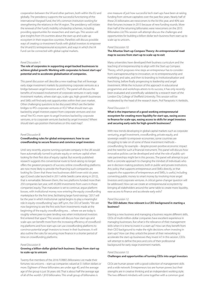cooperation between the V4 and other partners, both within the EU and globally. The presidency supports the successful functioning of the International Visegrad Fund, the V4's common institution working for strengthening the relations in the V4 region. The presidency will initiate the renewal of the Fund's mobility scholarship schemes, including providing opportunities for researchers and start-ups. This session will give insights from V4 countries about the start-up and scale-up ecosystem in their respective countries. Panellists will discuss possible ways of creating co-investment funds with global investors to empower the V4 and EU entrepreneurial ecosystem, and ways in which the V4 Fund can be connected with global capital markets.

#### Panel Discussion 7:

## **The role of corporates in supporting angel-backed businesses to achieve global growth: Working with corporates to boost start-ups' potential and to accelerate globalisation of companies.**

This panel discussion will describe a new roadmap that will leverage early stage investment markets by positioning corporate ventures as a bridge between angel investors and VCs. The panel will discuss the benefits of increased involvement of corporate ventures in early stage investment markets, where start-ups, scale-ups, high-growth businesses and SMEs will find early exit opportunities within their own market. Other challenging questions to be discussed: Which are the better bridges to IPO: corporate ventures or VCs? What should start-ups backed by angel investors expect from corporate ventures and vice versa? Are VCs more open to angel investors backed by corporate ventures, or to corporate ventures backed by angel investors? Where should start-ups position themselves on this road map?

#### Panel Discussion 8:

## **Crowdfunding rules for global entrepreneurs: how to use crowdfunding to secure finance and convince angel investors**

Until very recently, anyone running a private company in the UK would have automatically turned to private equity or venture capital when looking for their first slice of equity capital. But recently published research suggests this conventional route to fund-raising no longer offers the greatest prospects of success; online crowdfunding platforms are now more likely to provide the financing such companies are looking for. Given that these two businesses didn't even exist six years ago (Crowd cube launched in 2011 while Seedrs came along in 2012), that is remarkable. Between them, the two platforms funded more than 250 companies last year, with 45,000 investments from users in these companies' equity. That maturation is set to continue, argue platform bosses, with institutional money now entering the equity crowdfunding marketplace for the first time, facilitating larger fund-raisings. "2017 will be the year in which institutional capital begins to play a meaningful role in equity crowdfunding," says Jeff Lynn, the CEO of Seedrs. "We are now beginning to see the first exits from investments made at the beginning of the equity crowdfunding era… where we are today is roughly where peer-to-peer lending was when institutional investors first entered that space." This session will discuss how start-ups and scale-ups can benefit more from the increasing efficiency of crowdfunding platforms and how start-ups can use crowdfunding platforms to convince potential angel investors to invest in their businesses. It will also outline the rules for securing more finance in a shorter period of time on crowdfunding platforms.

#### Panel Discussion 9:

## **Growing a billion-dollar global tech business: Steps from start-up to scale-up to unicorn**

Twenty-five members of the 2016 FORBES Billionaires List made their fortunes via unicorns – start-up companies valued at \$1 billion dollars or more. Eighteen of these billionaires are under age 40, and the average age of the group is just 36 years old. That is about half the average age of all of the world's 1,810 billionaires. This small group of billionaires is

one measure of just how successful tech start-ups have been at raising funding from venture capitalists over the past few years. Nearly half of these 25 billionaires are newcomers to the list this year, and 40% saw their fortunes increase in 2015 because of new funding rounds. More than half of the returning billionaires were newcomers on the 2015 Billionaires List.This session will attempt discuss the challenges and opportunities for building a billion-dollar tech business from start-up to scale-up to unicorn.

#### Panel Discussion 10:

## **The Altuntas Start-up Compass Theory: An entrepreneurial road map to success from start-up to scale-up to exit**

Many universities have developed their business curriculum and the teaching of entrepreneurship to align with the Start-up Compass Theory, which proposes nine steps an entrepreneur has to consider: from wannapreneurship to innovation, on to entrepreneurship and marketing and sales, and then to branding to institutionalisation and franchising, before finally progressing to leadership and angel investment. While the inclusion of this approach in educational programmes and workshops attests to its success, it has only recently been evaluated and scientifically validated by a research team of the London City College of Sheffield University. This session will be moderated by the head of the research team, Prof Panayiotis H. Ketikidis.

#### Panel Discussion 11:

## **What is the importance of a good working entrepreneurial ecosystem for creating more liquidity for start-ups, easing access to finance for scale-ups, easing access to skills for angel investors and securing early exits for high-growth businesses?**

With new trends developing in global capital markets such as corporate venturing, angel investment, crowdfunding, private equity, and sovereign wealth to empower economies, some countries are struggling to take on of some of these investment methods – crowdfunding, for example – despite proven positive economic impact and the need for such a financial instrument. This panel will discuss how innovative policies can be developed and what the role of public–private partnerships might be in this process. The panel will attempt to put forth a concrete approach to changing the mindset of individuals who are in decision-making positions, both in public and private institutions. Any policy that supports entrepreneurs and SMEs directly, or that supports the supporters of entrepreneurs and SMEs, is useful, including converting public money to smart money by involving more angel investors and corporate ventures. A critical game-changer question will be addressed: How can we create an entrepreneurial ecosystem by bringing all stakeholders around the same table to create more liquidity, ease access to finance and accelerate early exits?

#### Panel Discussion 12:

## **The CEO debate: How relevant is a CEO background in starting a business?**

Starting a new business and managing a business require different skills. CEOs of multi-million-dollar companies have excellent experience in managing businesses. But what is the relevance of their management skills when it is time to invest in a start-up? How can they benefit from their CEO background to make the right decisions when investing in start-ups? How can they unlock the power of their networking to accelerate the start-up businesses they invest in? In this session, CEOs will attempt to define the pros and cons of their professional background for early stage investment markets.

#### Panel Discussion 13:

#### **Challenges and opportunities of turning CEOs into angel investors**

CEOs are human power with a good collection of management skills and a wide network. Entrepreneurs too are human power, but their strengths are in creative thinking and an independent working style. The two different mindsets will come together with a common goal: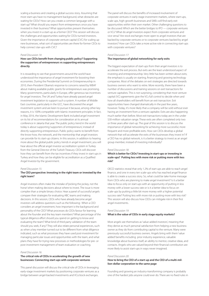scaling a business and creating a global success story. Assuming that most start-ups have no management background, what obstacles are waiting for CEOs? How can you create a common language with a start-up? What should you expect from entrepreneurs once you have invested in their business? What opportunities present themselves when you invest in a start-up as a former CEO? This session will discuss the challenges and opportunities waiting for CEOs-turned-investors. Given the importance of corporate venture capital (CVC) for scaling up new businesses, what sort of opportunities are there for former CEOs to help connect star-ups with CVC?

#### Panel Discussion 14:

## **How can CEOs benefit from changing public policy? Supporting the supporters of entrepreneurs vs supporting entrepreneurs directly**

It is rewarding to see that governments around the world have understood the importance of angel investment for boosting their economies. During the Presidential Summit on Entrepreneurship in 2010, then-President Obama's response to concerns raised by WBAF about making available public grants for entrepreneurs was promising. Many governments, particularly in Europe, offer generous tax incentives for angel investors. The UK and Turkey have already passed angel investment legislation to support such a system. A number of Middle East countries, particularly in the GCC, have discovered the angel investment system and are keen to pursue it because, among other key reasons, it is 100% compatible with Islamic investment principles. In fact, in May 2016, the Islamic Development Bank included angel investment on its list of recommendations for consideration at its annual conference in Jakarta that year. The public policy trend in the world today is about supporting 'supporters of entrepreneurs', instead of directly supporting entrepreneurs. Public policy wants to benefit from the know-how, the network, and the mentorship that angel investors can provide for its start-up citizens. In this session, in addition to hearing more about the global public policy trends in angel investment, you will hear about the official angel investor accreditation system in Turkey from the General Director of the Turkish Treasury. CEOs will discover how they can benefit from the tax incentives if they invest in start-ups in Turkey and how they can be eligible for accreditation as a Qualified Angel Investor by the government.

#### Panel Discussion 15:

## **The CEO perspective: Investing in the right team or invested by the right team?**

Angel investors often make the mistake of 'picking the jockey, not the horse' when making decisions about where to invest. The issue is more complex than a simple binary choice. Hear a panel of successful angels compare their strategies for evaluating ABC teams and making decisions. In this session, CEOs who have already become angel investors will address questions such as the following: When a CEO considers an angel investment, how important is the background and personality of the CEO? What processes do CEOs favour for learning about the founder and the key team members? What percentage of the typical diligence effort should you spend on getting to know and evaluating the team? What kind of third party validation of the team should you seek, if any? They will also relate personal experiences, such as when a key member turned out to be different from what diligence indicated, such as what processes they have used post-investment for managing particular issues and opportunities with the team, and what plans they have for trying new processes or methodologies for pre- or post-investment management of team evaluation or coaching.

#### Panel Discussion 16:

## **The critical role of CEOs in accelerating the growth of new businesses: Connecting start-ups with corporate ventures**

This panel discussion will discuss the critical role of CEOs in leveraging early-stage investment markets by positioning corporate ventures as a bridge between angel-backed investments and VCs/stock exchanges.

The panel will discuss the benefits of increased involvement of corporate ventures in early-stage investment markets, where start-ups, scale-ups, high-growth businesses and SMEs will find early exit opportunities within their own market. Other challenging questions to be discussed: Which are the better bridges to IPO — corporate ventures or VCs? What do angel investors expect from corporate ventures and vice versa? Are stock exchanges more open to angel investors that are backed by corporate ventures or to corporate ventures backed by angel investors? How can CEOs take a more active role in connecting start-ups with corporate ventures?

#### Panel Discussion 17:

## **The importance of global networking for early exits**

The biggest expectation of start-ups from their angel investors is to accelerate the exit process. But exits are the least understood aspect of investing and entrepreneurship. Very little has been written about exits; the emphasis is usually on starting, financing and growing technology companies. Most of the debates on exit strategies are directed towards business owners who want to retire. More recently, there have been a number of discussions and training sessions on exit transactions for venture capitalists. This is not surprising, considering that most venture capital (VC) agreements give the VCs full control to decide when and how all shareholders will benefit from an exit transaction. Exit opportunities have changed dramatically in the past few years, however. Today, it's more likely that a company will be sold without ever having an investment from a venture capitalist. Exits are also happening much earlier than before. Most exit transactions today are in the under \$30-million valuation range. These exits are often completed only two or three years after start-up. The goal of this session is to discuss the importance of global networking for achieving more successful, more frequent and more profitable exits. How can CEOs develop a global network that will accelerate the exits of the businesses they invest in? If a CEO has no global network, is it a better strategy to invest as an angel group member, instead of investing individually?

#### Panel Discussion 18:

## **Which is better for CEOs? Investing in start-ups or investing in scale-ups? Putting less with more risk or putting more with less risk?**

OECD statistics reveal that only 1.2% of start-ups are able to reach angel finance, and one in every ten scale-ups who has reached angel finance is able to create a success story. So, what could be take-home message from CEOs who are planning to make angel investment? Is it a better idea to focus only on start-ups with an opportunity of putting in less money with a lower success rate or is it a better idea to focus on scale-ups by putting a little bit more money with a higher potential success rate? Putting less with more risk or putting more with less risk? This session will also discuss how CEOs can mitigate risk in their first angel investments.

#### Panel Discussion 19:

## **What is the value of CEOs in early stage equity markets?**

Most angels see themselves as 'value-added investors', meaning that they derive as much personal satisfaction from helping a new business owner as they do from contributing capital to the venture. Many were previously successful business owners. Angels bring with them 'value added' benefits including prior industry experience, valuable knowledge about business itself, an ability to mentor, creative ideas, and contacts. Angels who are valued beyond their financial contribution are more likely to assist start-ups in ways never imagined.

#### Panel Discussion 20:

## **How to bring the CEO of a start-up and the CEO of a multi-million-dollar corporation to the same page**

Founding and growing an industry-transforming company is probably one of the hardest jobs anyone could ever do. There are no fixed rules in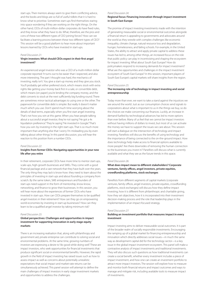start-ups. Their mentors always seem to give them conflicting advice, and the books and blogs are so full of useful tidbits that it is hard to know what to prioritise. Sometimes start-ups find themselves staring into space wondering if they are working on the right things. On the other hand, CEOs of multi-million-dollar corporates do have fixed rules, and they know what they have to do. What, therefore, are the pros and cons of these two different types of CEO joining forces? How can we facilitate a learning process between these two different types of CEO? This session will be a good platform to hear more about important lessons learned by CEOs who have invested in start-ups.

#### Panel Discussion 21:

## **Virgin investors: What should CEOs expect in their first angel investment?**

An experienced angel investor who was a CEO of a multi-million dollar corporate reported: 'It turns out to be easier than I expected, and also more interesting. The part I thought was hard, the mechanics of investing, really isn't. You give a start-up money and they give you stock. You'll probably get either preferred stock, which means stock with extra rights like getting your money back first in a sale, or convertible debt, which means (on paper) you're lending the company money, and the debt converts to stock at the next sufficiently big funding round. There are sometimes minor tactical advantages to using one or the other. The paperwork for convertible debt is simpler. But really it doesn't matter much which you use. Don't spend much time worrying about the details of deal terms, especially when you first start angel investing. That's not how you win at this game. When you hear people talking about a successful angel investor, they're not saying "He got a 4x liquidation preference." They're saying "He invested in Google." That's how you win: by investing in the right start-ups. That is so much more important than anything else that I worry I'm misleading you by even talking about other things.' In this panel discussion, you will hear the reaction to this position from a number CEOs .

#### Panel Discussion 22:

## **Insights from former CEOs: Navigating opportunities in your new life after you retire**

In their retirement, corporate CEOs have more time to mentor start-ups, scale-ups, high-growth businesses and SMEs. They come with a good financial package and a vast network that they have built over the years. The only thing they may lack is know-how: they need to learn about the principles of investing in start-ups and about founding a company from scratch. By the same token, SME entrepreneurs and founders of start-ups need support in the form of mentorship, know-know, networking, and finance to grow their businesses. In this session, you will hear more about the experiences of former CEOs who have invested in start-ups. How can CEOs prepare themselves to be qualified angel investors in their retirement? How can they go on empowering world economies by investing in start-up businesses? How can they learn to be a qualified angel investor by taking minimum risk?

## Panel Discussion 23:

## **Global perspectives: Challenges and opportunities in impact investment for supporting innovation in early stage equity markets**

There is an increasing realisation that, along with philanthropy and government aid, private enterprise can contribute to solving social and environmental problems. At the same time, growing numbers of investors are expressing a desire to "do good while doing well." These are impact investors, who seek opportunities for financial investments that produce significant social or environmental benefits. However, the rapid growth in the field of impact investing has raised issues such as how to assess impact as well as concerns about potentially unrealistic expectations that social impact and market-rate returns can be simultaneously achieved. This panel session will attempt to define the main challenges of impact investors in early stage investment markets and opportunities to address the challenges.

### Panel Discussion 24:

## **Regional focus: Financing innovation through impact investment in South East Europe**

The promise of impact investing investments made with the intention of generating measurable social or environmental outcomes alongside a financial return is appealing to governments and advocates around the world as they wrestle with complex challenges like economic inequality, climate change, natural resource loss and degradation, hunger, homelessness, and failing schools. For example, in the United States, the ability to attract and apply private capital to address these issues has led to, among other things, an increased focus on the role that public policy can play in incentivizing and shaping the ecosystem for impact investing. What about South East Europe? How do policymakers respond to increasing demands for impact investment? What are the opportunities and challenges in the impact investment ecosystem of South East Europe? In this session, important players of South East Europe's capital markets will share insights from the region.

#### Panel Discussion 25:

## **The increasing role of technology in impact investing and social entrepreneurship**

Today more than ever, we want to take a stand against the injustices we see around the world. Just as our consumption choices send signals to corporations about what is important to us in the things we buy, so do the choices we make concerning our finances. Luckily, an increase in demand fuelled by technological advances has led to more options than ever before. Many of us feel that we cannot be impact investors without having millions of dollars to invest, but most of us can activate the money we have to support the issues we care about. This session will start a dialogue on the intersection of technology and impact investing. Panellists will discuss the benefits of using technology and the importance of being connected to the on-the-ground impact. How does technology help make access to financial options available to more people? Are there downsides of removing the human connection to the businesses you invest in? Panellists will discuss what is currently available and what they see as the future trends in this space.

## Panel Discussion 26:

## **What does impact mean to different stakeholders? Corporate ventures, family offices, angel investors, private equities, crowdfunding platforms, stock exchanges**

Panellists from different segments of capital markets (corporate ventures, family offices, angel investors, private equities, crowdfunding platforms, stock exchanges) will discuss how they define impact investing, how it is different from philanthropic and charitable giving, how they set objectives, how it is incorporated into their investment decision-making process and the role that leadership plays in the implementation of an impact-focused strategy.

## Panel Discussion 27:

## **Building an investment portfolio that measures impact in every investment**

Impact investing aims to deliver measurable social outcomes. It is part of the broader realm of socially responsible investments. Encouraging the ramping up of a global market for financing entrepreneurship and innovation which directly addresses social issues—in much the same way as development capital did for the technology sector—is a key issue in the global impact investment ecosystem. This panel will make a contrastive analysis of impact investments and traditional investments. They will also discuss such questions as how traditional investments can create a social benefit, whether every investment includes a piece of impact investment, and how one can create an investment portfolio to attract more impact investors. The session will explore how to measure and monitor both financial returns and impact outcomes and ways to manage and mitigate risk, including available tools to measure impact of investments.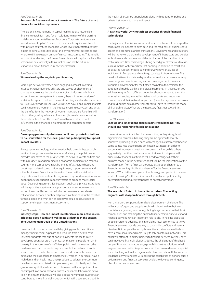#### Panel Discussion 28:

## **Responsible finance and impact Investment: The future of smart finance for social entrepreneurs**

There is an increasing trend in capital markets to use responsible finance to search for – and fund – solutions to many of the pressing social or environmental issues of our time. Corporate ventures also intend to invest up to 10 percent of their private equity investments with private equity fund managers whose investment strategies they expect to generate positive social and environmental outcomes, and who are willing to report on non-financial impact metrics. This trend is important for shaping the future of smart finance in capital markets. This session will be essentially a think-tank session for the future of responsible smart finance in impact investments.

## Panel Discussion 29:

## **Women leading the way in impact investing**

More high net worth women have engaged in impact investing, inspired others, influenced advisors, and served as champions of change to accelerate the development of an inclusive and vibrant impact investing ecosystem. As a result, there is in an expansion of sustainable capital to address the most pressing social and environmental issues worldwide. This session will discuss how global capital markets can include more women in the impact investing ecosystem and what the benefits from the network of women investors are. Panellists will discuss the growing influence of women (those who earn as well as those who inherit) over the world's wealth as investors as well as influencers in the financial, philanthropic and corporate sectors.

#### Panel Discussion 30:

## **Developing partnerships between public and private institutions to fuel innovation for the social good and public policy to support impact investors**

Private sector technology and innovation help provide better public services through improved operational efficiency. The public sector provides incentives to the private sector to deliver projects on time and within budget. In addition, creating economic diversification makes a country more competitive in facilitating its infrastructure base and boosting associated construction, equipment, support services and other businesses. Since impact investors focus on the social value propositions of the investments they make, why not develop innovative public policies to support impact investors to produce more social good. Developing partnerships between public and private institutions will be a positive step towards supporting social entrepreneurs and impact investors. This session will discuss how we can accelerate collaboration between public and private institutions to fuel innovation for social good and what sort of incentives could be developed to support the impact investment ecosystem.

#### Panel Discussion 31:

## **Industry scope: How can impact investors take more active role in achieving good health and well-being as defined in the Sustainable Development Goals of the United Nations**

Financial inclusion improves health by giving people the ability to manage their medical expenses and rebound from a health crisis. Research suggests that out-of-pocket payments for health care in developing countries are a major reason that some people remain in poverty. In the absence of an efficient public healthcare system, the burden of medical costs rests on poor people themselves. Financial services such as medical insurance can provide a formal channel for mitigating the risks of health emergencies. Women in particular have a high demand for health insurance products to address the common health concerns associated with pregnancy and childbirth, including greater susceptibility to infection. This session will attempt to explore how impact investors and social entrepreneurs can take a more active role in the health industry. It will also discuss how impact investors can contribute to more financial inclusion, which will create social good for the health of a country's population, along with options for public and private institutions to make an impact.

#### Panel Discussion 32:

## **A cashless world: Driving cashless societies through financial technologies**

The trajectory of individual countries towards cashless will be shaped by consumers' willingness to ditch cash and the readiness of businesses to accept and promote cashless transactions. Governments and regulators will be the key enablers in the development of infrastucture and policies for business and consumers and the facilitators of the transition to a cashless future. New technologies bring new digital alternatives to cash, such as mobile wallets and internet banking, in addition to credit and debit cards. A recent mobile banking survey shows that 34% of individuals in Europe would readily go cashless if given a choice. This panel will attempt to define digital alternatives for a cashless economy. How can governments and regulators come together to create a favourable environment for the fintech ecosystem to accelerate the adoption of mobile banking and digital payments? In this session you will hear insights from different countries about attempts to transition to a cashless society. As cashless takes hold, banks and insurance companies and their network of partners (fintechs, payment companies, and third-parties across other industries) will have to remake the model of financial services. What are the necessary first steps toward this transformation?

#### Panel Discussion 33:

## **Encouraging innovations outside mainstream banking: How should one respond to fintech innovation?**

The most important problem for banks is that, as they struggle with digitalisation barriers in banking, they are being simultaneously squeezed by having to keep pace with changes in customer behaviour. Some companies create subsidiary fintech businesses in order to encourage innovations outside mainstream banking, while others aggressively turn their business models inside out. This panel will discuss why financial institutions will need to change all of their business models in the near future. What will be the implications of the transformation from a 'financial products distribution channel' to a 'financial consulting distribution channel' for the financial services industry? What is the exact place of technology companies in the new world of banking? In this session, panellists will attempt to identify potential financial industry responses to fintech innovation.

#### Panel Discussion 34:

## **The key role of fintech in humanitarian crises: Connecting migrants with diaspora finance through fintech**

Humanitarian crises pose a formidable development challenge. The millions of refugees and people forcibly displaced within their own countries are growing in number, placing huge burdens on their host communities and straining the humanitarian sector's ability to respond. Financial services have an important role to play in helping displaced people overcome adversity and in enabling local economies to thrive. Financial services provide one way to cope with conflicts and natural disasters. But people affected by humanitarian crises are less likely to have a bank account and more likely to rely on informal networks. This panel will attempt to define barriers to financial services in crises, how can innovative financial solutions address the challenges of displaced people? How can regulators engage with innovative solutions to help migrants connect with diaspora finance? How can we develop a special wallet banking system for migrants who have no national ID number or residence permit.Panellists will address the capabilities of donors, public policymakers and financial service providers to develop contingency plans for humanitarian crises.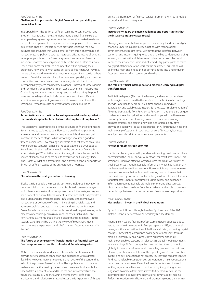#### Panel Discussion 35:

## **Challenges & opportunities: Digital finance interoperability and financial inclusion**

Interoperability – the ability of different systems to connect with one another – is attracting more attention among digital finance experts. Interoperable payment systems have the potential to make it easier for people to send payments to anyone and receive payments from anyone quickly and cheaply. Financial service providers welcome the new business opportunities that would emerge from this higher volume of transactions, and policymakers see interoperability as means of bringing more poor people into the financial system, thus fostering financial inclusion. However, not everyone is enthusiastic about interoperability. Providers in some markets see a competitive risk in opening their proprietary networks to what some perceive as 'free riders'. Or they may not perceive a need to make their payment systems interact with others systems. Panel discussants will explore how interoperability can balance competition and coordination and how every stakeholder in the interoperability system can become a winner—instead of some winners and some losers. Should government stand back and let industry lead? Or should government have a strong hand in making things happen? Have we gone beyond technical connections and given sufficient attention to arrangement governance and business incentives? This session will try to formulate answers to these critical questions.

#### Panel Discussion 36:

## **Access to finance in the fintech's entrepreneurial roadmap: What is the smartest capital for fintechs from start-up to scale-up to exit?**

This session will attempt to explore the best type of finance for fintechs from start-up to scale-up to exit. How can crowdfunding platforms, accelerators and personal finance carry a fintech business to angel investors at the seed stage? What sort of angel investor is good for fintech businesses? How can angel investors connect fintech scale-ups with corporate ventures? What are the expectations do CVCs expect from fintech businesses? What would be the best mix of finance for fintech start-ups? What is the best exit strategy for fintechs, and which source of finance would serve best to execute an exit strategy? Panel discussants will define different roles and different financial supports for fintech at different stages of the entrepreneurial journey.

#### Panel Discussion 37:

## **Blockchain in the next generation of banking**

Blockchain is arguably the most disruptive technological innovation in decades. It is built on the concept of a distributed consensus ledger, which leverages a network of computers that jointly create, evolve, and keep track of one immutable history of transactions. That is, it provides a distributed and decentralized digital infrastructure that empowers transactions or exchange of value — including financial assets and auto-executable contracts — in a secure and trusted environment. Banks, fintech startups and other parties are already experimenting with blockchain technology across a number of cases such as KYC, AML, remittances, payments, trade finance, clearing and settlements. In this session, panellists will be sharing their views of blockchain, market trends, industry experiments, and platforms and future roadmaps with live PoC.

## Panel Discussion 38:

## **The future of cyber security : Transformation of financial services from on-premises to mobile to cloud and fintech integration**

With IoT, mobility and cloud reliance, financial institutions are able to provide better customer connection and experience with a greater flexibility. However, many enterprises are not aware of the danger that exists in the process of transformation. The sophistication of modern malware and tactics used by hackers means we are all vulnerable. It's time to take a different view and build the security architecture of a future that is already underway. Panel members will define the architecture and solution set that addresses the full spectrum of threats during transformation of financial services from on-premises to mobile to cloud and fintech integration

#### Panel Discussion 39:

## **InsurTech: What are the main challenges and opportunities that the insurance industry faces today?**

Changing consumer behaviour patterns, especially the desire for digital channels, underlie insurers' preoccupation with technological advancement. We might tentatively say that the interface between customer and insurer is going to be one of the key battlegrounds going forward, not just in the trivial sense of online portals and chatbots but rather as the ability of insurers and other industry participants to make every part of their operation work for the customer. This session will define the main challenges and opportunities the insurance industry faces and how InsurTech can respond to them.

#### Panel Discussion 40:

## **The role of artificial intelligence and machine learning in digital transformation**

Artificial intelligence (AI), machine learning, and related data-driven technologies have moved to the forefront of the business technology agenda. Together, they promise real-time analysis, immediate adaptability, and scalable automation. But the actual implementation of AI varies dramatically from function to function — and there are unique challenges to each application. In this session, panellists will examine how AI systems are transforming business operations, rewriting business strategy, and creating new engines for rapid, disruptive growth. The panel will look at best practices in AI for both business and technology professionals in such areas as core AI systems, business intelligence and analytics, commerce, and payments.

#### Panel Discussion 41: **Fintech for mobile credit scoring?**

Traditional challenges faced by lenders in financing small business have necessitated the use of innovative methods for credit assessment. This session will focus on effective ways to assess the credit worthiness of small businesses through available information which has traditionally not been used for credit assessment. However, it is important to make clear to consumers that mobile credit scoring does not mean that non-creditworthy consumers will now be given loans. Instead, it allows for better assessment of consumers' risks from new and expanded information sources available via mobile phone and data sources. discussants will explore how fintech can take an active role to create a better bridge between the consumer and financial service providers.

#### WBAF Business School

## **Masterclass 1: Invest in the FinTech r-evolution**

By Paolo Sironi, FinTech Thought Leader& Spokes-man of the IBM Watson Financial Services&WBAF Academy Faculty Member

Financial Services are facing a perfect storm: margins squeeze due to zero to negative interest rates in Europe, Japan and US, reputational damage in the aftermath of the Global Financial Crisis, increasing capital charges, skyrocketing compliance costs, generational shifts towards mobile oriented Millennials, progressive disintermediation by technology enabled startups (AI, blockchain, digital, mobile payments, robo-investing). FinTech companies have grabbed the opportunity globally to create transformational compelling propositions that can ultimately replace or revolutionize the operating models of incumbent institutions. Yet, innovation is not an easy journey and requires venture funding, transferable competences, entrepreneurial talent, educational humus and legal easiness. Proactive financial centers and forward looking regulators in New York, London, Hong Kong, Shanghai and Singapore (to name a few) have started to flex their muscles in the attempt to gain a competitive international advantage by helping FinTech innovation to find its ways and promoting sound transforma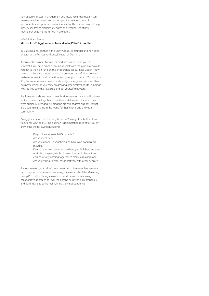tion of banking, asset management and insurance industries. FinServ marketplace has never been so competitive creating threats for incumbents and opportunities for innovators. This masterclass will help identify key trends globally, strengths and weaknesses of new technology shaping the FinTech r-evolution.

### WBAF Business School

### **Masterclass 2: Agglomerate: from idea to IPO in 12 months**

By Callum Laing, partner in the Unity-Group, co-founder and non-exec director of the Marketing Group, Director of Dent Asia

If you are the owner of a small or medium business and you are successful, you have probably found yourself with the problem: how do you get to the next rung on the entrepreneurial business ladder – how do you go from a business runner to a business owner? How do you make more wealth, find more time and grow your business? Should you IPO, the entrepreneur's dream, or should you merge and acquire other businesses? Should you carry on growing organically? Look for funding? How do you take the next step and get yourself that yacht?

Agglomeration shows how normal business owners, across all business sectors, can come together to use the capital markets for what they were originally intended: funding the growth of great businesses that are creating real value in the world for their clients and the wider community.

An Agglomeration isn't for every business.You might be better off with a traditional M&A or IPO. Find out if an Agglomeration is right for you by answering the following questions:

- Do you have at least \$400k in profit?
- Are youdebt free?
- Are you a leader in your field, and have won awards and plaudits?
- Do you operate in an industry where you feel there are a lots of similar or synergistic businesses that could benefit from collaboratively coming together to create a major player?
- Are you willing to work collaboratively with other people?

If you answered yes to all of these questions, this masterclass seems a must for you. In this masterclass, using the case study of the Marketing Group PLC, Callum Laing shows how small businesses are using a collaborative approach to level the playing field with big companies and getting ahead while maintaining their independence.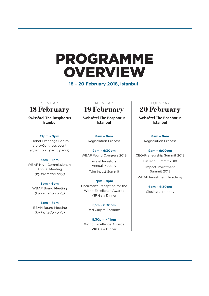# PROGRAMME **OVERVIEW**

**18 – 20 February 2018, Istanbul**

**Swissôtel The Bosphorus Istanbul**

## **12pm – 3pm**

 Global Exchange Forum, a pre-Congress event (open to all participants)

## **3pm – 5pm**

WBAF High Commissioners Annual Meeting (by invitation only)

## **5pm – 6pm**

WBAF Board Meeting (by invitation only)

**6pm – 7pm** EBAN Board Meeting (by invitation only)

## SUNDAY | MONDAY | TUESDAY

**Swissôtel The Bosphorus Istanbul**

> **8am – 9am** Registration Process

**9am – 6:30pm**  WBAF World Congress 2018 Angel Investors Annual Meeting Take Invest Summit

**7pm – 8pm** Chairman's Reception for the World Excellence Awards VIP Gala Dinner

> **8pm – 8.30pm** Red Carpet Entrance

**8.30pm – 11pm** World Excellence Awards VIP Gala Dinner

# 18 February 19 February 20 February

**Swissôtel The Bosphorus Istanbul**

> **8am – 9am** Registration Process

**9am – 6:00pm** CEO-Preneurship Summit 2018 FinTech Summit 2018 Impact Investment Summit 2018 WBAF Investment Academy

> **6pm – 6:30pm** Closing ceremony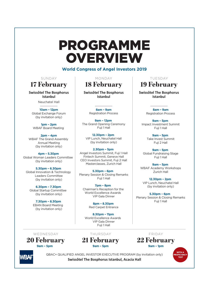# PROGRAMME **OVERVIEW**

**World Congress of Angel Investors 2019**

Neuchatel Hall **Swissôtel The Bosphorus Istanbul**

**10am – 12pm** Global Exchange Forum (by invitation only)

**1pm – 2pm** WBAF Board Meeting

**2pm – 4pm** WBAF The Grand Assembly Annual Meeting (by invitation only)

**4pm – 5.30pm**  Global Woman Leaders Committee (by invitation only)

**5.30pm – 6.30pm**  Global Innovation & Technology Leaders Committee (by invitation only)

**6.30pm – 7.30pm**  Global Startup Committee (by invitation only)

**7.30pm – 8.30pm** EBAN Board Meeting (by invitation only)

17 February 18 February 19 February SUNDAY MONDAY TUESDAY

> **Swissôtel The Bosphorus Istanbul**

**8am – 9am** Registration Process

**9am – 12pm**  The Grand Opening Ceremony Fuji 1 Hall

**12.30pm – 2pm**  VIP Lunch, Neuchatel Hall (by invitation only)

**2.30pm – 5pm**  Angel Investors Summit, Fuji 1 Hall Fintech Summit, Geneve Hall CEO Investors Summit, Fuji 2 Hall Masterclasses, Zurich Hall

**5.30pm – 6pm** Plenary Session & Closing Remarks Fuji 1 Hall

**7pm – 8pm** Chairman's Reception for the World Excellence Awards VIP Gala Dinner

> **8pm – 8.30pm** Red Carpet Entrance

**8.30pm – 11pm** World Excellence Awards VIP Gala Dinner Fuji 1 Hall

20 February 21 February 22 February WEDNESDAY THURSDAY FRIDAY

**9am – 5pm 9am – 5pm 9am – 1pm**



QBAC+ QUALIFIED ANGEL INVESTOR EXECUTIVE PROGRAM (by invitation only) **Swissôtel The Bosphorus Istanbul, Acacia Hall**

**Swissôtel The Bosphorus Istanbul**

> **8am – 9am** Registration Process

**9am – 5pm**  Impact Investment Summit Fuji 1 Hall

> **9am – 5pm**  Take Invest Summit Fuji 2 Hall

**9am – 5pm**  Global Fundraising Stage Fuji 1 Hall

**9am – 5pm**  WBAF Academy Workshops Zurich Hall

**12.30pm – 2pm**  VIP Lunch, Neuchatel Hall (by invitation only)

**5.30pm – 6pm** Plenary Session & Closing Remarks Fuji 1 Hall